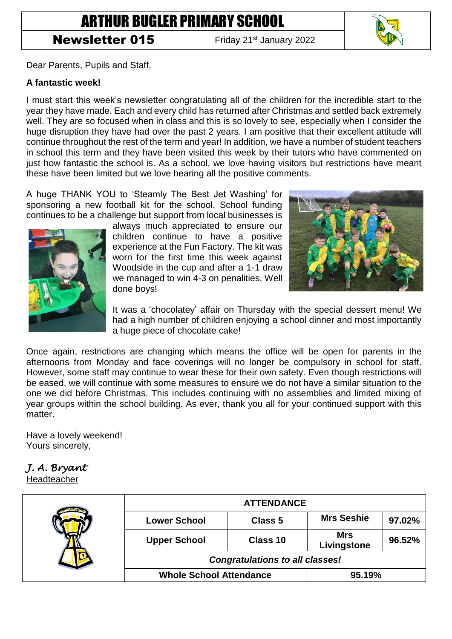# ARTHUR BUGLER PRIMARY SCHOOL

### Newsletter 015 Friday 21<sup>st</sup> January 2022



Dear Parents, Pupils and Staff,

#### **A fantastic week!**

I must start this week's newsletter congratulating all of the children for the incredible start to the year they have made. Each and every child has returned after Christmas and settled back extremely well. They are so focused when in class and this is so lovely to see, especially when I consider the huge disruption they have had over the past 2 years. I am positive that their excellent attitude will continue throughout the rest of the term and year! In addition, we have a number of student teachers in school this term and they have been visited this week by their tutors who have commented on just how fantastic the school is. As a school, we love having visitors but restrictions have meant these have been limited but we love hearing all the positive comments.

A huge THANK YOU to 'Steamly The Best Jet Washing' for sponsoring a new football kit for the school. School funding continues to be a challenge but support from local businesses is



always much appreciated to ensure our children continue to have a positive experience at the Fun Factory. The kit was worn for the first time this week against Woodside in the cup and after a 1-1 draw we managed to win 4-3 on penalities. Well done boys!



It was a 'chocolatey' affair on Thursday with the special dessert menu! We had a high number of children enjoying a school dinner and most importantly a huge piece of chocolate cake!

Once again, restrictions are changing which means the office will be open for parents in the afternoons from Monday and face coverings will no longer be compulsory in school for staff. However, some staff may continue to wear these for their own safety. Even though restrictions will be eased, we will continue with some measures to ensure we do not have a similar situation to the one we did before Christmas. This includes continuing with no assemblies and limited mixing of year groups within the school building. As ever, thank you all for your continued support with this matter.

Have a lovely weekend! Yours sincerely,

## *J. A. Bryant*

Headteacher

|  | <b>ATTENDANCE</b>                      |          |                           |        |
|--|----------------------------------------|----------|---------------------------|--------|
|  | <b>Lower School</b>                    | Class 5  | <b>Mrs Seshie</b>         | 97.02% |
|  | <b>Upper School</b>                    | Class 10 | <b>Mrs</b><br>Livingstone | 96.52% |
|  | <b>Congratulations to all classes!</b> |          |                           |        |
|  | <b>Whole School Attendance</b>         |          | 95.19%                    |        |